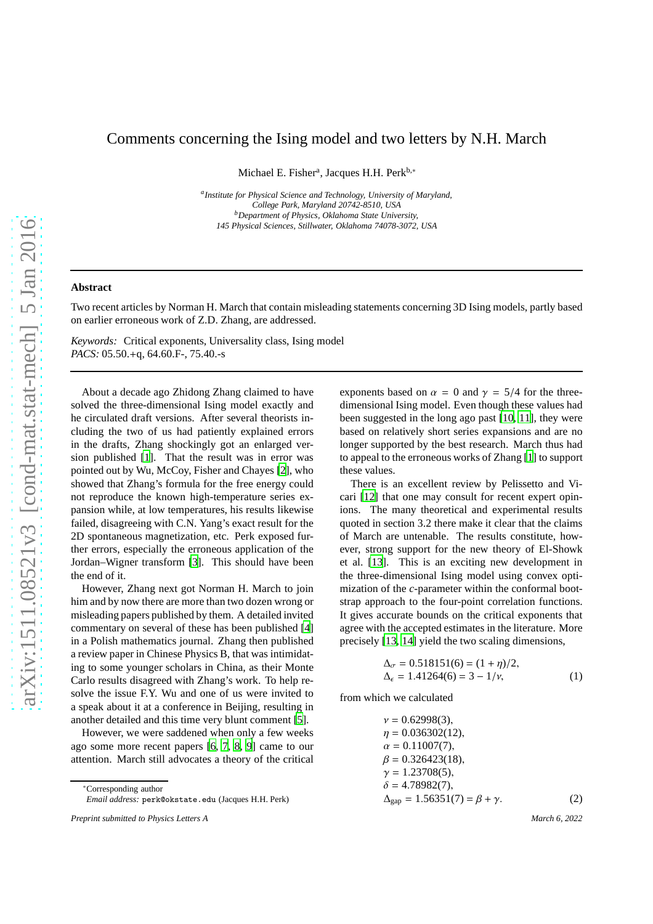## Comments concerning the Ising model and two letters by N.H. March

Michael E. Fisher<sup>a</sup>, Jacques H.H. Perk<sup>b,\*</sup>

*a Institute for Physical Science and Technology, University of Maryland, College Park, Maryland 20742-8510, USA <sup>b</sup>Department of Physics, Oklahoma State University, 145 Physical Sciences, Stillwater, Oklahoma 74078-3072, USA*

## **Abstract**

Two recent articles by Norman H. March that contain misleading statements concerning 3D Ising models, partly based on earlier erroneous work of Z.D. Zhang, are addressed.

*Keywords:* Critical exponents, Universality class, Ising model *PACS:* 05.50.+q, 64.60.F-, 75.40.-s

About a decade ago Zhidong Zhang claimed to have solved the three-dimensional Ising model exactly and he circulated draft versions. After several theorists including the two of us had patiently explained errors in the drafts, Zhang shockingly got an enlarged version published [\[1\]](#page-1-0). That the result was in error was pointed out by Wu, McCoy, Fisher and Chayes [\[2\]](#page-1-1), who showed that Zhang's formula for the free energy could not reproduce the known high-temperature series expansion while, at low temperatures, his results likewise failed, disagreeing with C.N. Yang's exact result for the 2D spontaneous magnetization, etc. Perk exposed further errors, especially the erroneous application of the Jordan–Wigner transform [\[3](#page-1-2)]. This should have been the end of it.

However, Zhang next got Norman H. March to join him and by now there are more than two dozen wrong or misleading papers published by them. A detailed invited commentary on several of these has been published [\[4](#page-1-3)] in a Polish mathematics journal. Zhang then published a review paper in Chinese Physics B, that was intimidating to some younger scholars in China, as their Monte Carlo results disagreed with Zhang's work. To help resolve the issue F.Y. Wu and one of us were invited to a speak about it at a conference in Beijing, resulting in another detailed and this time very blunt comment [\[5\]](#page-1-4).

However, we were saddened when only a few weeks ago some more recent papers [\[6,](#page-1-5) [7,](#page-1-6) [8,](#page-1-7) [9\]](#page-1-8) came to our attention. March still advocates a theory of the critical

<sup>∗</sup>Corresponding author *Email address:* perk@okstate.edu (Jacques H.H. Perk) exponents based on  $\alpha = 0$  and  $\gamma = 5/4$  for the threedimensional Ising model. Even though these values had been suggested in the long ago past [\[10](#page-1-9), [11](#page-1-10)], they were based on relatively short series expansions and are no longer supported by the best research. March thus had to appeal to the erroneous works of Zhang [\[1\]](#page-1-0) to support these values.

There is an excellent review by Pelissetto and Vicari [\[12\]](#page-1-11) that one may consult for recent expert opinions. The many theoretical and experimental results quoted in section 3.2 there make it clear that the claims of March are untenable. The results constitute, however, strong support for the new theory of El-Showk et al. [\[13\]](#page-1-12). This is an exciting new development in the three-dimensional Ising model using convex optimization of the *c*-parameter within the conformal bootstrap approach to the four-point correlation functions. It gives accurate bounds on the critical exponents that agree with the accepted estimates in the literature. More precisely [\[13](#page-1-12), [14](#page-1-13)] yield the two scaling dimensions,

$$
\Delta_{\sigma} = 0.518151(6) = (1 + \eta)/2,\Delta_{\epsilon} = 1.41264(6) = 3 - 1/\nu,
$$
\n(1)

from which we calculated

$$
\nu = 0.62998(3), \n\eta = 0.036302(12), \n\alpha = 0.11007(7), \n\beta = 0.326423(18), \n\gamma = 1.23708(5), \n\delta = 4.78982(7), \n\Delta_{\text{gap}} = 1.56351(7) = \beta + \gamma.
$$
\n(2)

*Preprint submitted to Physics Letters A March 6, 2022*